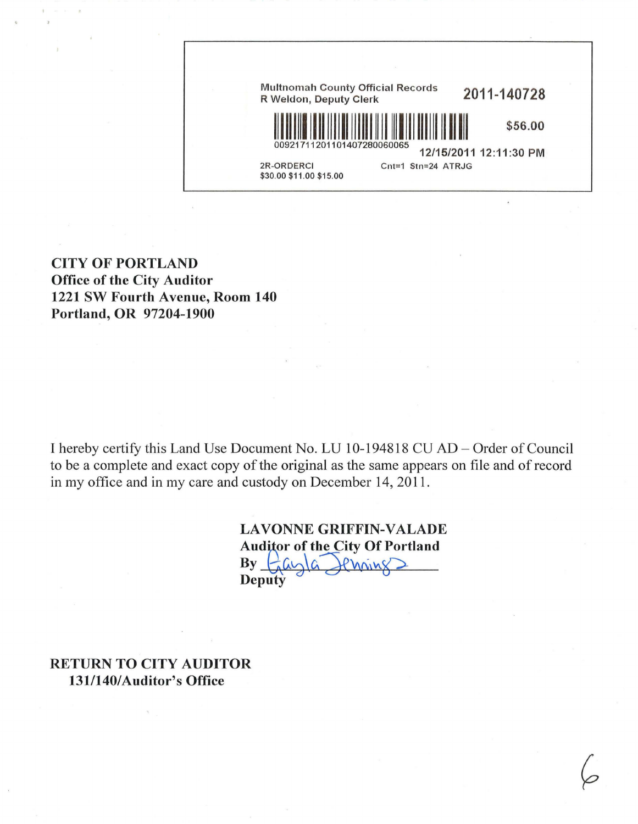

CITY OF PORTLAND Office of the City Auditor 1221 SW Fourth Avenue, Room 140 Portland, OR 97204-1900

I hereby certify this Land Use Document No. LU 10-194818 CU AD - Order of Council to be a complete and exact copy of the original as the same appears on file and of record in my office and in my care and custody on December 14, 2011.

> LAVONNE GRIFFIN-VALADE Auditor of the City Of Portland  $By$   $\frac{\partial}{\partial a}$

RETURN TO CITY AUDITOR 131/140/Auditor's Office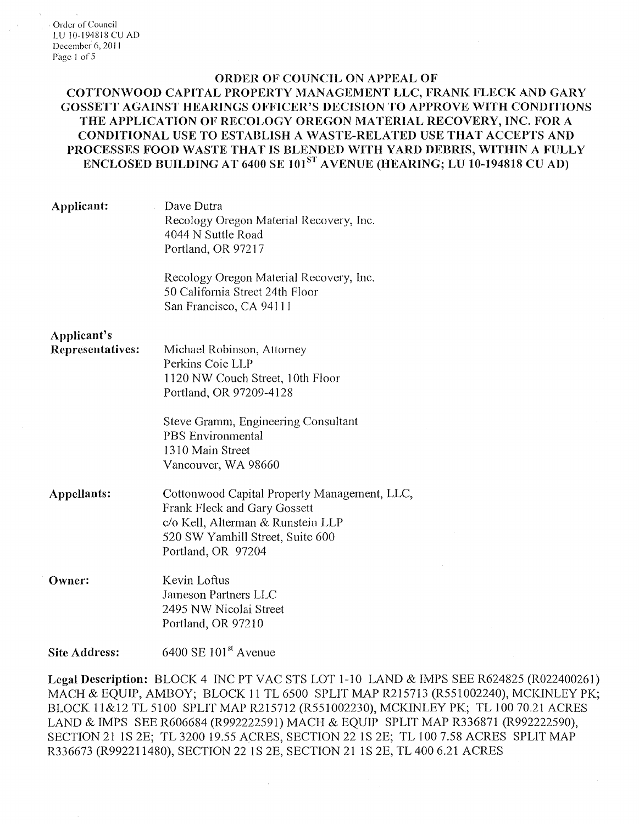## ORDER OF COUNCIL ON APPEAL OF

COTTON\VOOD CAPITAL PROPERTY MANAGEMENT LLC, FRANK FLECK AND GARY GOSSETT AGAINST HEARINGS OFFICER'S DECISION TO APPROVE WITH CONDITIONS THE APPLICATION OF RECOLOGY OREGON MATERIAL RECOVERY, INC. FOR A CONDITIONAL USE TO ESTABLISH A WASTE-RELATED USE THAT ACCEPTS AND PROCESSES FOOD WASTE THAT IS BLENDED WITH YARD DEBRIS, WITHIN A FULLY ENCLOSED BUILDING AT 6400 SE 101<sup>ST</sup> AVENUE (HEARING; LU 10-194818 CU AD)

| Applicant:                      | Dave Dutra<br>Recology Oregon Material Recovery, Inc.<br>4044 N Suttle Road<br>Portland, OR 97217                                                                                  |
|---------------------------------|------------------------------------------------------------------------------------------------------------------------------------------------------------------------------------|
|                                 | Recology Oregon Material Recovery, Inc.<br>50 California Street 24th Floor<br>San Francisco, CA 94111                                                                              |
| Applicant's<br>Representatives: | Michael Robinson, Attorney<br>Perkins Coie LLP<br>1120 NW Couch Street, 10th Floor<br>Portland, OR 97209-4128                                                                      |
|                                 | Steve Gramm, Engineering Consultant<br><b>PBS</b> Environmental<br>1310 Main Street<br>Vancouver, WA 98660                                                                         |
| Appellants:                     | Cottonwood Capital Property Management, LLC,<br><b>Frank Fleck and Gary Gossett</b><br>c/o Kell, Alterman & Runstein LLP<br>520 SW Yamhill Street, Suite 600<br>Portland, OR 97204 |
| Owner:                          | Kevin Loftus<br>Jameson Partners LLC<br>2495 NW Nicolai Street<br>Portland, OR 97210                                                                                               |
| <b>Site Address:</b>            | 6400 SE $101st$ Avenue                                                                                                                                                             |

Legal Description: BLOCK 4 INC PT VAC STS LOT 1-10 LAND & IMPS SEE R624825 (R022400261) MACH & EQUIP, AMBOY; BLOCK 11 TL 6500 SPLIT MAP R215713 (R551002240), MCKINLEY PK; BLOCK 11&12 TL 5100 SPLIT MAP R215712 (R551002230), MCKINLEY PK; TL 100 70.21 ACRES LAND & IMPS SEE R606684 (R992222591) MACH & EQUIP SPLIT MAP R336871 (R992222590), SECTION 21 lS 2E; TL 3200 I9.55 ACRES, SECTION 22 IS 2E; TL IOO 7.58 ACRES SPLIT MAP R336673(R9922I1480), SECTION 22 IS 2E, SECTION 21 JS 2E, TL400 6.21 ACRES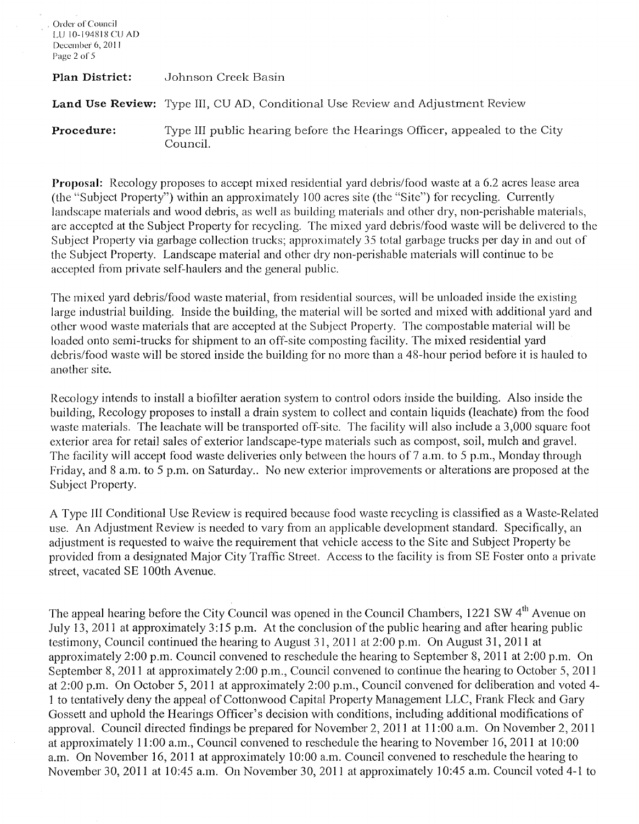| Order of Council<br>-LU-10-194818 CU AD-<br>December 6, 2011<br>Page 2 of 5 |                                                                                       |
|-----------------------------------------------------------------------------|---------------------------------------------------------------------------------------|
| <b>Plan District:</b>                                                       | Johnson Creek Basin                                                                   |
|                                                                             | <b>Land Use Review:</b> Type III, CU AD, Conditional Use Review and Adjustment Review |
| Procedure:                                                                  | Type III public hearing before the Hearings Officer, appealed to the City<br>Council. |

**Proposal:** Recology proposes to accept mixed residential yard debris/food waste at a 6.2 acres lease area (the "Subject Property") within an approximately 100 acres site (the "Site") for recycling. Currently landscape materials and wood debris, as well as building materials and other dry, non-perishable materials, arc accepted at the Subject Property for recycling. The mixed yard debris/food waste will be delivered to the Subject Property via garbage collection trucks; approximately 35 total garbage trucks per day in and out of the Subject Property. Landscape material and other dry non-perishable materials will continue to be accepted from private self-haulers and the general public.

The mixed yard debris/food waste material, from residential sources, will be unloaded inside the existing large industrial building. Inside the building, the material will be sorted and mixed with additional yard and other wood waste materials that are accepted at the Subject Property. The cornpostable material will be loaded onto semi-trucks for shipment to an off-site composting facility. The mixed residential yard debris/food waste will be stored inside the building for no more than a 48-hour period before it is hauled to another site.

Recology intends to install a biofilter aeration system to control odors inside the building. Also inside the building, Recology proposes to install a drain system to collect and contain liquids (leachate) from the food waste materials. The leachate will be transported off-site. The facility will also include a 3,000 square foot exterior area for retail sales of exterior landscape-type materials such as compost, soil, mulch and gravel. The facility will accept food waste deliveries only between the hours of 7 a.m. to 5 p.m., Monday through Friday, and 8 a.m. to 5 p.m. on Saturday.. No new exterior improvements or alterations are proposed at the Subject Property.

A Type Ill Conditional Use Review is required because food waste recycling is classified as a Waste-Related use. An Adjustment Review is needed to vary from an applicable development standard. Specifically, an adjustment is requested to waive the requirement that vehicle access to the Site and Subject Property be provided from a designated Major City Traffic Street. Access to the facility is from SE Foster onto a private street, vacated SE 100th Avenue.

The appeal hearing before the City Council was opened in the Council Chambers, 1221 SW 4<sup>th</sup> Avenue on July 13, 2011 at approximately 3: 15 p.m. At the conclusion of the public hearing and after hearing public testimony, Council continued the hearing to August 31, 2011 at 2:00 p.m. On August 31, 2011 at approximately 2:00 p.m. Council convened to reschedule the hearing to September 8, 2011 at 2:00 p.m. On September 8, 2011 at approximately 2:00 p.m., Council convened to continue the hearing to October 5, 2011 at 2:00 p.m. On October 5, 2011 at approximately 2:00 p.m., Council convened for deliberation and voted 4- 1 to tentatively deny the appeal of Cottonwood Capital Property Management LLC, Frank Fleck and Gary Gossett and uphold the Hearings Officer's decision with conditions, including additional modifications of approval. Council directed findings be prepared for November 2, 2011 at 11 :00 a.m. On November 2, 2011 at approximately **11** :00 a.m., Council convened to reschedule the hearing to November 16, 2011 at 10:00 a.m. On November 16, 2011 at approximately 10:00 a.m. Council convened to reschedule the hearing to November 30, 2011 at 10:45 a.m. On November 30, 2011 at approximately 10:45 a.m. Council voted 4-1 to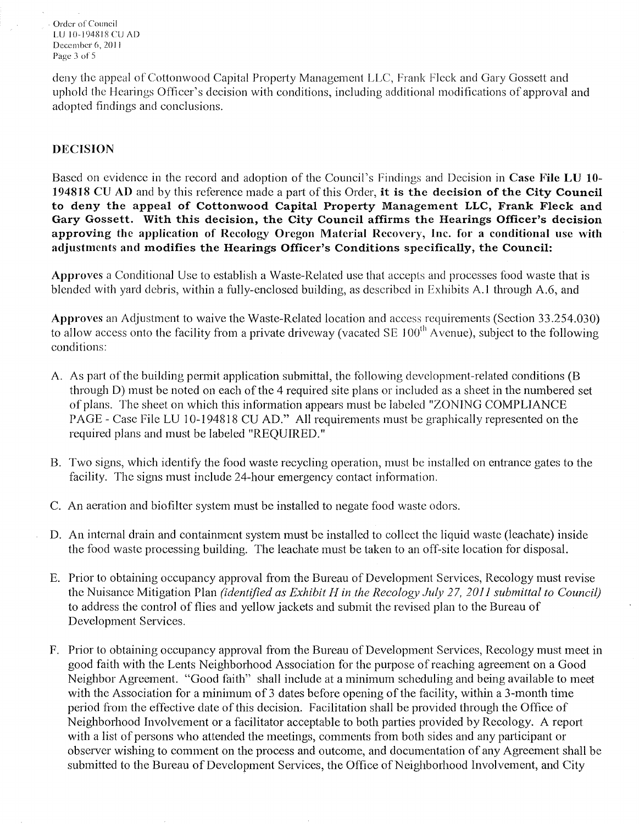Order of Council LU I0-!94818CUAD December 6, 2011 Page 3 of  $5$ 

deny the appeal of Cottonwood Capital Property Management LLC, Frank Ficek and Gary Gossett and uphold the Hearings Officer's decision with conditions, including additional modifications of approval and adopted findings and conclusions.

## DECISION

Based on evidence in the record and adoption of the Council's Findings and Decision in Case File LU 10- 194818 CU AD and by this reference made a part of this Order, it is the decision of the City Council to deny the appeal of Cottonwood Capital Property Management LLC, Frank Fleck and Gary Gossett. With this decision, the City Council affirms the Hearings Officer's decision approving the application of Rccology Oregon Material Recovery, Inc. for a conditional use with adjustments and modifies the Hearings Officer's Conditions specifically, the Council:

Approves a Conditional Use to establish a Waste-Related use that accepts and processes food waste that is blended with yard debris, within a fully-enclosed building, as described in Exhibits A. I through A.6, and

Approves an Adjustment to waive the Waste-Related location and access requirements (Section 33.254.030) to allow access onto the facility from a private driveway (vacated SE  $100<sup>th</sup>$  A venue), subject to the following conditions:

- A. As part of the building permit application submittal, the following development-related conditions (B through D) must be noted on each of the 4 required site plans or included as a sheet in the numbered set of plans. The sheet on which this information appears must be labeled "ZONING COMPLIANCE PAGE - Case File LU 10-194818 CU AD." All requirements must be graphically represented on the required plans and must be labeled "REQUIRED."
- B. Two signs, which identify the food waste recycling operation, must be installed on entrance gates to the facility. The signs must include 24-hour emergency contact information.
- C. An aeration and biofilter system must be installed to negate food waste odors.
- D. An internal drain and containment system must be installed to collect the liquid waste (leachate) inside the food waste processing building. The leachate must be taken to an off-site location for disposal.
- E. Prior to obtaining occupancy approval from the Bureau of Development Services, Recology must revise the Nuisance Mitigation Plan *(identified as Exhibit H in the Recology July 27, 2011 submittal to Council)* to address the control of flies and yellow jackets and submit the revised plan to the Bureau of Development Services.
- F. Prior to obtaining occupancy approval from the Bureau of Development Services, Recology must meet in good faith with the Lents Neighborhood Association for the purpose of reaching agreement on a Good Neighbor Agreement. "Good faith" shall include at a minimum scheduling and being available to meet with the Association for a minimum of 3 dates before opening of the facility, within a 3-month time period from the effective date of this decision. Facilitation shall be provided through the Office of Neighborhood Involvement or a facilitator acceptable to both parties provided by Recology. A report with a list of persons who attended the meetings, comments from both sides and any participant or observer wishing to comment on the process and outcome, and documentation of any Agreement shall be submitted to the Bureau of Development Services, the Office of Neighborhood Involvement, and City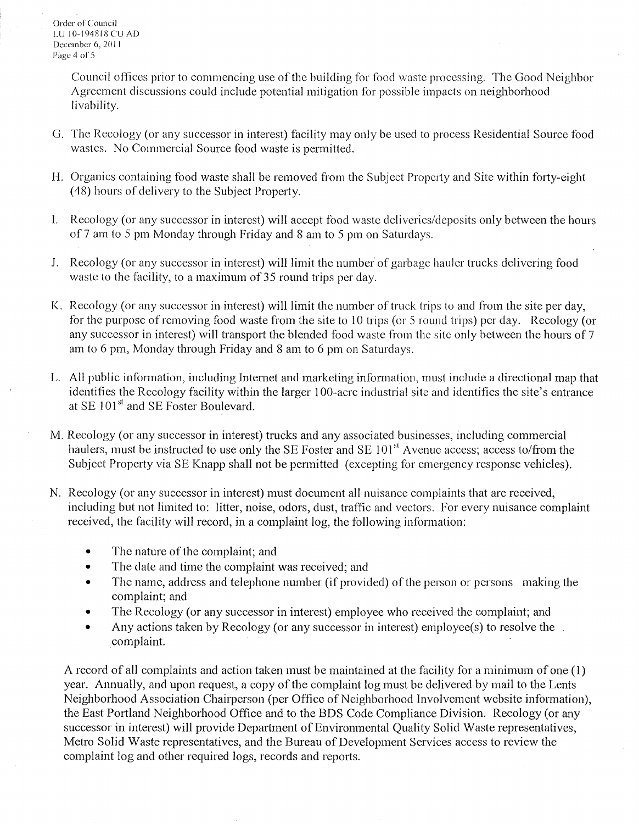Order of Council LU 10-194818 CU AD December 6, 2011 Pàge 4 of 5

> Council offices prior to commencing use of the building for food waste processing. The Good Neighbor Agreement discussions could include potential mitigation for possible impacts on neighborhood livability.

- G. The Recology (or any successor in interest) facility may only be used to process Residential Source food wastes. No Commercial Source food waste is permitted.
- H. Organics containing food waste shall be removed from the Subject Property and Site within forty-eight (48) hours of delivery to the Subject Property.
- l. Recology (or any successor in interest) will accept food waste deliveries/deposits only between the hours of 7 am to 5 pm Monday through Friday and 8 am to 5 pm on Saturdays.
- J. Recology (or any successor in interest) will limit the number of garbage hauler trucks delivering food waste to the facility, to a maximum of 35 round trips per day.
- K. Rccology (or any successor in interest) will limit the number of truck trips to and from the site per day, for the purpose of removing food waste from the site to 10 trips (or 5 round trips) per day. Recology (or any successor in interest) will transport the blended food waste from the site only between the hours of 7 am to 6 pm, Monday through Friday and 8 am to 6 pm on Saturdays.
- L. All public information, including Internet and marketing information, must include a directional map that identifies the Recology facility within the larger 100-acrc industrial site and identifies the site's entrance at SE 101<sup>st</sup> and SE Foster Boulevard.
- M. Recology (or any successor in interest) trucks and any associated businesses, including commercial haulers, must be instructed to use only the SE Foster and SE 101<sup>st</sup> Avenue access; access to/from the Subject Property via SE Knapp shall not be pennitted (excepting for emergency response vehicles).
- N. Recology (or any successor in interest) must document all nuisance complaints that arc received, including but not limited to: litter, noise, odors, dust, traffic and vectors. For every nuisance complaint received, the facility will record, in a complaint log, the following information:
	- The nature of the complaint; and
	- The date and time the complaint was received; and
	- The name, address and telephone number (if provided) of the person or persons making the complaint; and
	- The Recology (or any successor in interest) employee who received the complaint; and
	- Any actions taken by Recology (or any successor in interest) employee(s) to resolve the complaint.

A record of all complaints and action taken must be maintained at the facility for a minimum of one (1) year. Annually, and upon request, a copy of the complaint log must be delivered by mail to the Lents Neighborhood Association Chairperson (per Office of Neighborhood Involvement website information), the East Portland Neighborhood Office and to the BDS Code Compliance Division. Rccology (or any successor in interest) will provide Department of Environmental Quality Solid Waste representatives, Metro Solid Waste representatives, and the Bureau of Development Services access to review the complaint log and other required logs, records and reports.